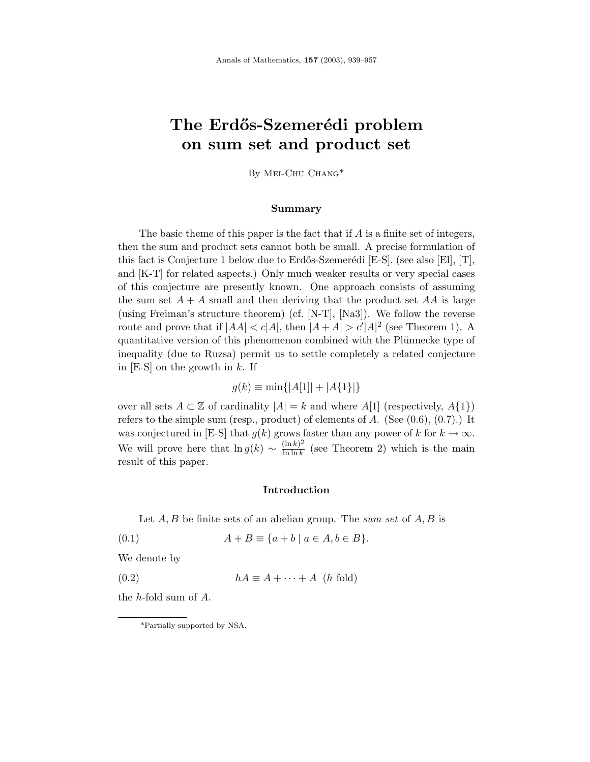# **The Erd˝os-Szemer´edi problem on sum set and product set**

By Mei-Chu Chang\*

### **Summary**

The basic theme of this paper is the fact that if *A* is a finite set of integers, then the sum and product sets cannot both be small. A precise formulation of this fact is Conjecture 1 below due to Erdős-Szemerédi [E-S]. (see also [El], [T], and [K-T] for related aspects.) Only much weaker results or very special cases of this conjecture are presently known. One approach consists of assuming the sum set  $A + A$  small and then deriving that the product set  $AA$  is large (using Freiman's structure theorem) (cf. [N-T], [Na3]). We follow the reverse route and prove that if  $|AA| < c|A|$ , then  $|A+A| > c'|A|^2$  (see Theorem 1). A quantitative version of this phenomenon combined with the Plünnecke type of inequality (due to Ruzsa) permit us to settle completely a related conjecture in [E-S] on the growth in *k*. If

$$
g(k) \equiv \min\{|A[1]| + |A\{1\}|\}
$$

over all sets  $A \subset \mathbb{Z}$  of cardinality  $|A| = k$  and where  $A[1]$  (respectively,  $A\{1\}$ ) refers to the simple sum (resp., product) of elements of *A*. (See (0.6), (0.7).) It was conjectured in [E-S] that  $g(k)$  grows faster than any power of  $k$  for  $k \to \infty$ . We will prove here that  $\ln g(k) \sim \frac{(\ln k)^2}{\ln \ln k}$  (see Theorem 2) which is the main result of this paper.

# **Introduction**

Let *A, B* be finite sets of an abelian group. The sum set of *A, B* is

(0.1)  $A + B \equiv \{a + b \mid a \in A, b \in B\}.$ 

We denote by

(0.2) *hA* ≡ *A* + ··· + *A* (*h* fold)

the *h*-fold sum of *A*.

<sup>\*</sup>Partially supported by NSA.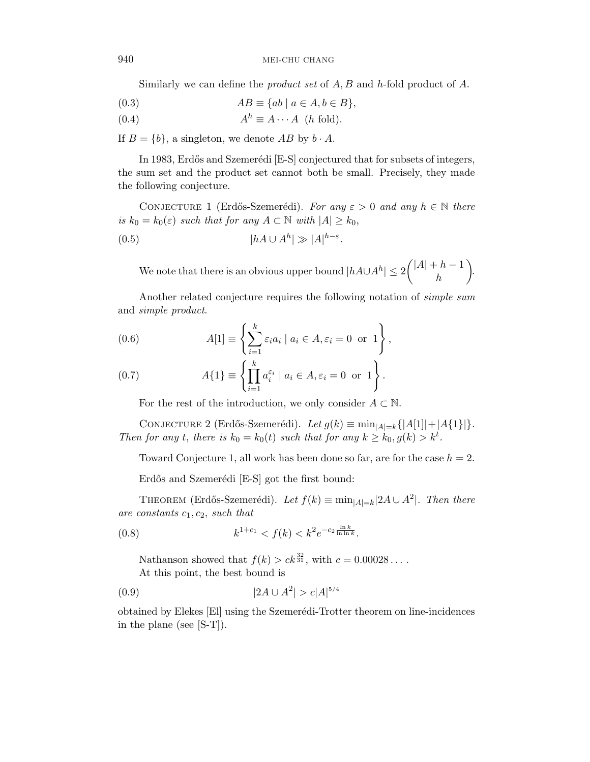Similarly we can define the product set of *A, B* and *h*-fold product of *A*.

$$
(0.3) \tAB \equiv \{ab \mid a \in A, b \in B\},\
$$

$$
(0.4) \t Ah \equiv A \cdots A \t (h \text{ fold}).
$$

If  $B = \{b\}$ , a singleton, we denote  $AB$  by  $b \cdot A$ .

In 1983, Erdős and Szemerédi [E-S] conjectured that for subsets of integers, the sum set and the product set cannot both be small. Precisely, they made the following conjecture.

CONJECTURE 1 (Erdős-Szemerédi). For any  $\varepsilon > 0$  and any  $h \in \mathbb{N}$  there is  $k_0 = k_0(\varepsilon)$  such that for any  $A \subset \mathbb{N}$  with  $|A| \geq k_0$ ,

$$
(0.5)\t\t\t |hA \cup A^h| \gg |A|^{h-\varepsilon}
$$

We note that there is an obvious upper bound  $|hA \cup A^h| \leq 2\binom{|A|+h-1}{h}$ *h* - .

*.*

Another related conjecture requires the following notation of simple sum and simple product.

(0.6) 
$$
A[1] \equiv \left\{ \sum_{i=1}^{k} \varepsilon_i a_i \mid a_i \in A, \varepsilon_i = 0 \text{ or } 1 \right\},
$$

(0.7) 
$$
A\{1\} \equiv \left\{\prod_{i=1}^k a_i^{\varepsilon_i} \mid a_i \in A, \varepsilon_i = 0 \text{ or } 1\right\}.
$$

For the rest of the introduction, we only consider  $A \subset \mathbb{N}$ .

CONJECTURE 2 (Erdős-Szemerédi). Let  $g(k) \equiv \min_{|A|=k} \{|A[1]|+|A\{1\}|\}.$ Then for any *t*, there is  $k_0 = k_0(t)$  such that for any  $k \geq k_0, g(k) > k^t$ .

Toward Conjecture 1, all work has been done so far, are for the case *h* = 2.

Erdős and Szemerédi [E-S] got the first bound:

THEOREM (Erdős-Szemerédi). Let  $f(k) \equiv \min_{|A|=k} |2A \cup A^2|$ . Then there are constants *c*1*, c*2, such that

(0.8) 
$$
k^{1+c_1} < f(k) < k^2 e^{-c_2 \frac{\ln k}{\ln \ln k}}.
$$

Nathanson showed that  $f(k) > ck^{\frac{32}{31}}$ , with  $c = 0.00028...$ .

At this point, the best bound is

$$
(0.9) \t\t |2A \cup A^2| > c|A|^{5/4}
$$

obtained by Elekes [El] using the Szemerédi-Trotter theorem on line-incidences in the plane (see [S-T]).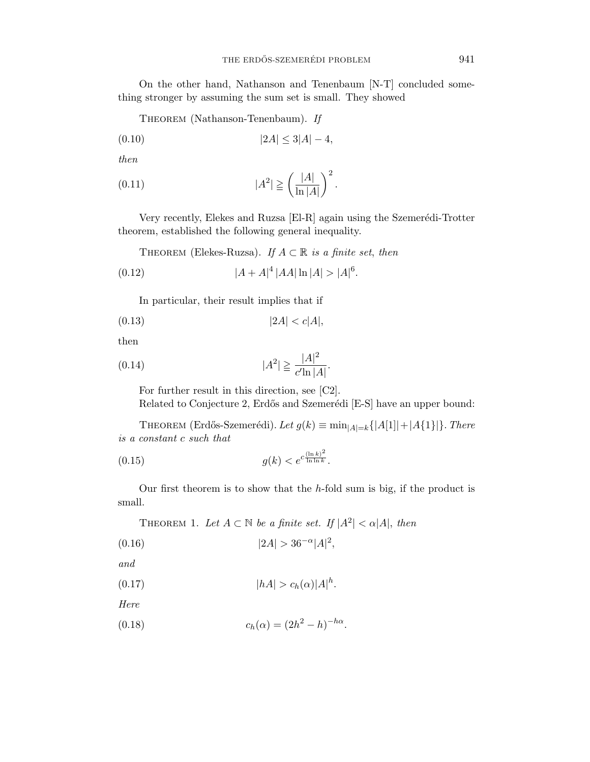On the other hand, Nathanson and Tenenbaum [N-T] concluded something stronger by assuming the sum set is small. They showed

THEOREM (Nathanson-Tenenbaum). If

$$
(0.10) \t\t |2A| \le 3|A| - 4,
$$

then

$$
(0.11) \t\t |A2| \geqq \left(\frac{|A|}{\ln |A|}\right)^2.
$$

Very recently, Elekes and Ruzsa [El-R] again using the Szemerédi-Trotter theorem, established the following general inequality.

THEOREM (Elekes-Ruzsa). If  $A \subset \mathbb{R}$  is a finite set, then

$$
(0.12)\t\t |A + A|^4 |AA| \ln |A| > |A|^6.
$$

In particular, their result implies that if

$$
(0.13)\t\t |2A| < c|A|,
$$

then

(0.14) 
$$
|A^2| \geqq \frac{|A|^2}{c' \ln |A|}.
$$

For further result in this direction, see [C2]. Related to Conjecture 2, Erdős and Szemerédi [E-S] have an upper bound:

THEOREM (Erdős-Szemerédi). Let  $g(k) \equiv \min_{|A|=k} \{|A[1]|+|A\{1\}|\}$ . There is a constant *c* such that

(0.15) 
$$
g(k) < e^{c \frac{(\ln k)^2}{\ln \ln k}}.
$$

Our first theorem is to show that the *h*-fold sum is big, if the product is small.

THEOREM 1. Let  $A \subset \mathbb{N}$  be a finite set. If  $|A^2| < \alpha |A|$ , then

$$
(0.16)\t\t\t |2A| > 36^{-\alpha}|A|^2,
$$

and

$$
(0.17) \t\t\t |hA| > c_h(\alpha)|A|^h.
$$

Here

(0.18) 
$$
c_h(\alpha) = (2h^2 - h)^{-h\alpha}.
$$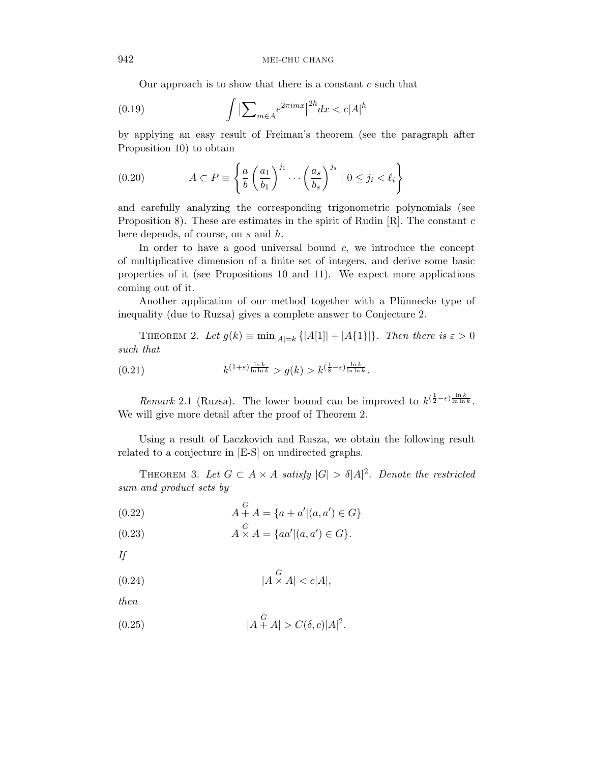Our approach is to show that there is a constant *c* such that

$$
(0.19)\qquad \qquad \int \left| \sum_{m \in A} e^{2\pi i m x} \right|^{2h} dx < c|A|^h
$$

by applying an easy result of Freiman's theorem (see the paragraph after Proposition 10) to obtain

(0.20) 
$$
A \subset P \equiv \left\{ \frac{a}{b} \left( \frac{a_1}{b_1} \right)^{j_1} \cdots \left( \frac{a_s}{b_s} \right)^{j_s} \mid 0 \le j_i < \ell_i \right\}
$$

and carefully analyzing the corresponding trigonometric polynomials (see Proposition 8). These are estimates in the spirit of Rudin [R]. The constant *c* here depends, of course, on *s* and *h*.

In order to have a good universal bound *c*, we introduce the concept of multiplicative dimension of a finite set of integers, and derive some basic properties of it (see Propositions 10 and 11). We expect more applications coming out of it.

Another application of our method together with a Plünnecke type of inequality (due to Ruzsa) gives a complete answer to Conjecture 2.

THEOREM 2. Let  $g(k) \equiv \min_{|A|=k} \{|A[1]| + |A[1]|\}$ . Then there is  $\varepsilon > 0$ such that

(0.21) 
$$
k^{(1+\varepsilon)\frac{\ln k}{\ln \ln k}} > g(k) > k^{(\frac{1}{8}-\varepsilon)\frac{\ln k}{\ln \ln k}}.
$$

*Remark* 2.1 (Ruzsa). The lower bound can be improved to  $k^{(\frac{1}{2}-\varepsilon)\frac{\ln k}{\ln \ln k}}$ . We will give more detail after the proof of Theorem 2.

Using a result of Laczkovich and Rusza, we obtain the following result related to a conjecture in [E-S] on undirected graphs.

THEOREM 3. Let  $G \subset A \times A$  satisfy  $|G| > \delta |A|^2$ . Denote the restricted sum and product sets by

(0.22) 
$$
A + A = \{a + a' | (a, a') \in G\}
$$

(0.23) 
$$
A \times A = \{aa' | (a, a') \in G\}.
$$

If

$$
(0.24) \t\t |A \times A| < c|A|,
$$

then

(0.25) 
$$
|A + A| > C(\delta, c)|A|^2.
$$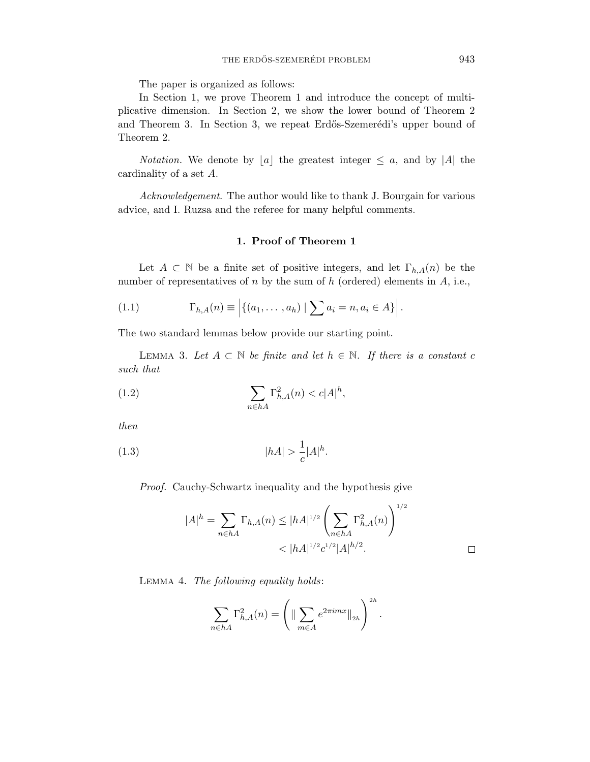The paper is organized as follows:

In Section 1, we prove Theorem 1 and introduce the concept of multiplicative dimension. In Section 2, we show the lower bound of Theorem 2 and Theorem 3. In Section 3, we repeat Erdős-Szemerédi's upper bound of Theorem 2.

*Notation*. We denote by  $[a]$  the greatest integer  $\leq a$ , and by  $|A|$  the cardinality of a set *A*.

Acknowledgement. The author would like to thank J. Bourgain for various advice, and I. Ruzsa and the referee for many helpful comments.

# **1. Proof of Theorem 1**

Let  $A \subset \mathbb{N}$  be a finite set of positive integers, and let  $\Gamma_{h,A}(n)$  be the number of representatives of *n* by the sum of *h* (ordered) elements in *A*, i.e.,

(1.1) 
$$
\Gamma_{h,A}(n) \equiv \left| \{ (a_1, \ldots, a_h) \mid \sum a_i = n, a_i \in A \} \right|.
$$

The two standard lemmas below provide our starting point.

LEMMA 3. Let  $A \subset \mathbb{N}$  be finite and let  $h \in \mathbb{N}$ . If there is a constant c such that

(1.2) 
$$
\sum_{n \in hA} \Gamma_{h,A}^2(n) < c|A|^h,
$$

then

(1.3) 
$$
|hA| > \frac{1}{c}|A|^h.
$$

Proof. Cauchy-Schwartz inequality and the hypothesis give

$$
|A|^h = \sum_{n \in hA} \Gamma_{h,A}(n) \le |hA|^{1/2} \left(\sum_{n \in hA} \Gamma_{h,A}^2(n)\right)^{1/2}
$$
  

$$
< |hA|^{1/2} c^{1/2} |A|^{h/2}.
$$

Lemma 4. The following equality holds:

$$
\sum_{n\in hA} \Gamma_{h,A}^2(n) = \left( \|\sum_{m\in A} e^{2\pi i m x}\|_{2h} \right)^{2h}.
$$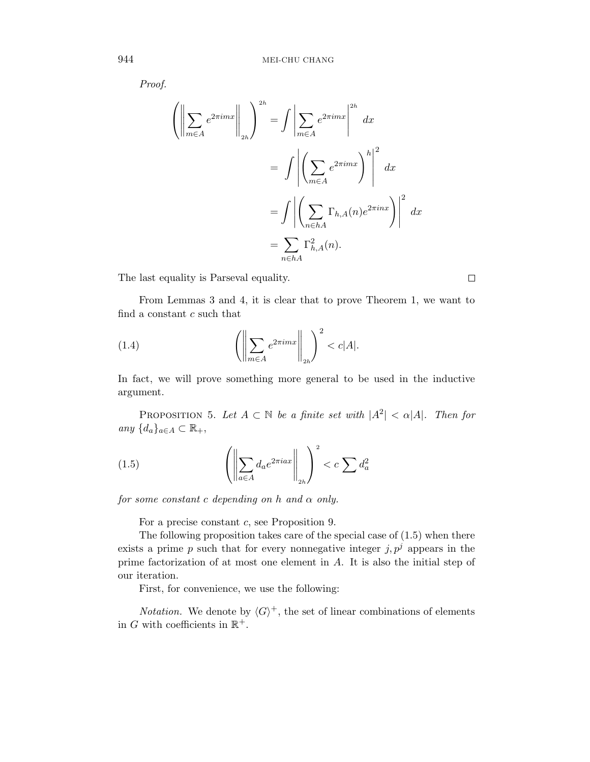Proof.

$$
\left(\left\|\sum_{m\in A} e^{2\pi imx}\right\|_{2h}\right)^{2h} = \int \left|\sum_{m\in A} e^{2\pi imx}\right|^{2h} dx
$$

$$
= \int \left|\left(\sum_{m\in A} e^{2\pi imx}\right)^h\right|^2 dx
$$

$$
= \int \left|\left(\sum_{n\in hA} \Gamma_{h,A}(n)e^{2\pi inx}\right)\right|^2 dx
$$

$$
= \sum_{n\in hA} \Gamma_{h,A}^2(n).
$$

The last equality is Parseval equality.

From Lemmas 3 and 4, it is clear that to prove Theorem 1, we want to find a constant *c* such that

(1.4) 
$$
\left( \left\| \sum_{m \in A} e^{2\pi i m x} \right\|_{2h} \right)^2 < c |A|.
$$

In fact, we will prove something more general to be used in the inductive argument.

PROPOSITION 5. Let  $A \subset \mathbb{N}$  be a finite set with  $|A^2| < \alpha |A|$ . Then for any  ${d_a}_{a∈A}$  ⊂  $\mathbb{R}_+,$ 

(1.5) 
$$
\left( \left\| \sum_{a \in A} d_a e^{2\pi i a x} \right\|_{2h} \right)^2 < c \sum d_a^2
$$

for some constant *c* depending on *h* and *α* only.

For a precise constant *c*, see Proposition 9.

The following proposition takes care of the special case of  $(1.5)$  when there exists a prime  $p$  such that for every nonnegative integer  $j, p<sup>j</sup>$  appears in the prime factorization of at most one element in *A*. It is also the initial step of our iteration.

First, for convenience, we use the following:

*Notation.* We denote by  $\langle G \rangle^+$ , the set of linear combinations of elements in *G* with coefficients in  $\mathbb{R}^+$ .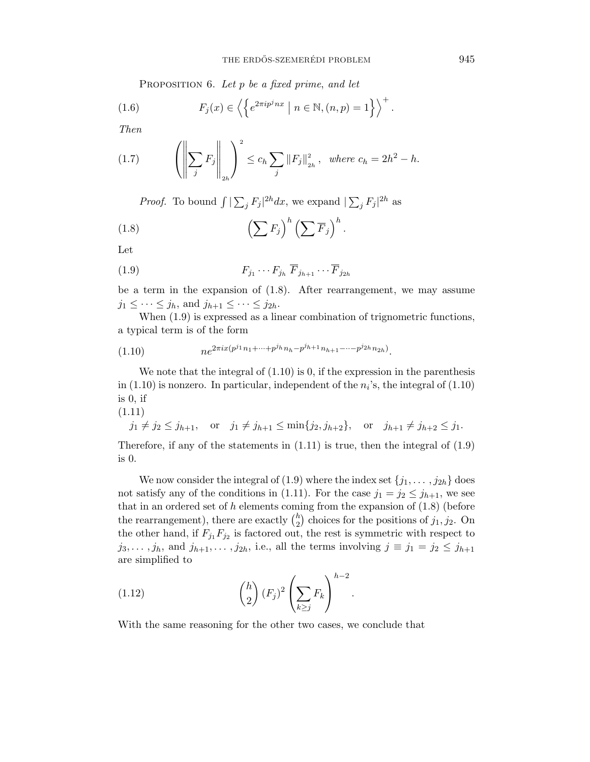PROPOSITION 6. Let *p* be a fixed prime, and let

(1.6) 
$$
F_j(x) \in \left\langle \left\{ e^{2\pi i p^j n x} \mid n \in \mathbb{N}, (n, p) = 1 \right\} \right\rangle^+.
$$

Then

(1.7) 
$$
\left( \left\| \sum_{j} F_{j} \right\|_{2h} \right)^{2} \leq c_{h} \sum_{j} \|F_{j}\|_{2h}^{2}, \text{ where } c_{h} = 2h^{2} - h.
$$

*Proof.* To bound  $\int |\sum_j F_j|^{2h} dx$ , we expand  $|\sum_j F_j|^{2h}$  as

(1.8) 
$$
\left(\sum F_j\right)^h \left(\sum \overline{F}_j\right)^h.
$$

Let

$$
(1.9) \tF_{j_1}\cdots F_{j_h}\ \overline{F}_{j_{h+1}}\cdots \overline{F}_{j_{2h}}
$$

be a term in the expansion of (1.8). After rearrangement, we may assume  $j_1 \leq \cdots \leq j_h$ , and  $j_{h+1} \leq \cdots \leq j_{2h}$ .

When  $(1.9)$  is expressed as a linear combination of trignometric functions, a typical term is of the form

$$
(1.10) \t n e^{2\pi ix(p^{j_1}n_1 + \dots + p^{j_h}n_h - p^{j_{h+1}}n_{h+1} - \dots - p^{j_{2h}}n_{2h})}.
$$

We note that the integral of  $(1.10)$  is 0, if the expression in the parenthesis in  $(1.10)$  is nonzero. In particular, independent of the  $n_i$ 's, the integral of  $(1.10)$ is 0, if

(1.11)

$$
j_1 \neq j_2 \leq j_{h+1}
$$
, or  $j_1 \neq j_{h+1} \leq \min\{j_2, j_{h+2}\}$ , or  $j_{h+1} \neq j_{h+2} \leq j_1$ .

Therefore, if any of the statements in  $(1.11)$  is true, then the integral of  $(1.9)$ is 0.

We now consider the integral of (1.9) where the index set  $\{j_1, \ldots, j_{2h}\}$  does not satisfy any of the conditions in (1.11). For the case  $j_1 = j_2 \leq j_{h+1}$ , we see that in an ordered set of *h* elements coming from the expansion of (1.8) (before the rearrangement), there are exactly  $\binom{h}{2}$  choices for the positions of  $j_1, j_2$ . On the other hand, if  $F_{j_1}F_{j_2}$  is factored out, the rest is symmetric with respect to  $j_3, \ldots, j_h$ , and  $j_{h+1}, \ldots, j_{2h}$ , i.e., all the terms involving  $j \equiv j_1 = j_2 \leq j_{h+1}$ are simplified to

*.*

(1.12) 
$$
{h \choose 2} (F_j)^2 \left(\sum_{k \ge j} F_k\right)^{h-2}
$$

With the same reasoning for the other two cases, we conclude that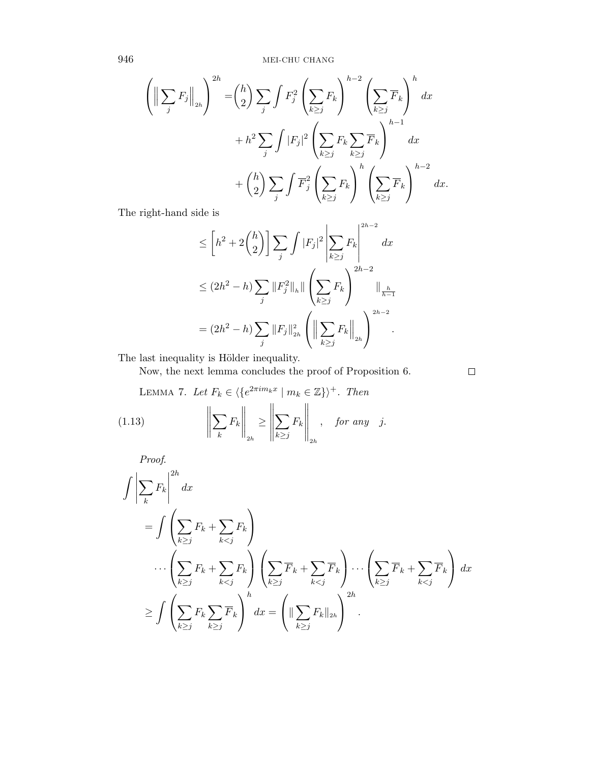946 MEI-CHU CHANG

$$
\left(\left\|\sum_{j} F_{j}\right\|_{2h}\right)^{2h} = {h \choose 2} \sum_{j} \int F_{j}^{2} \left(\sum_{k \geq j} F_{k}\right)^{h-2} \left(\sum_{k \geq j} \overline{F}_{k}\right)^{h} dx + h^{2} \sum_{j} \int |F_{j}|^{2} \left(\sum_{k \geq j} F_{k} \sum_{k \geq j} \overline{F}_{k}\right)^{h-1} dx + {h \choose 2} \sum_{j} \int \overline{F}_{j}^{2} \left(\sum_{k \geq j} F_{k}\right)^{h} \left(\sum_{k \geq j} \overline{F}_{k}\right)^{h-2} dx.
$$

The right-hand side is

$$
\leq \left[h^2 + 2\binom{h}{2}\right] \sum_{j} \int |F_j|^2 \left|\sum_{k\geq j} F_k\right|^{2h-2} dx
$$
  

$$
\leq (2h^2 - h) \sum_{j} \|F_j^2\|_h \|\left(\sum_{k\geq j} F_k\right)^{2h-2} \|_{\frac{h}{h-1}}
$$
  

$$
= (2h^2 - h) \sum_{j} \|F_j\|_{2h}^2 \left(\left\|\sum_{k\geq j} F_k\right\|_{2h}\right)^{2h-2}.
$$

The last inequality is Hölder inequality.

Now, the next lemma concludes the proof of Proposition 6.

 $\Box$ 

LEMMA 7. Let 
$$
F_k \in \langle \{e^{2\pi i m_k x} \mid m_k \in \mathbb{Z}\} \rangle^+
$$
. Then  
\n(1.13) 
$$
\left\| \sum_k F_k \right\|_{2h} \ge \left\| \sum_{k \ge j} F_k \right\|_{2h}, \text{ for any } j.
$$

Proof.

$$
\int \left| \sum_{k} F_{k} \right|^{2h} dx
$$
\n
$$
= \int \left( \sum_{k \geq j} F_{k} + \sum_{k < j} F_{k} \right)
$$
\n
$$
\cdots \left( \sum_{k \geq j} F_{k} + \sum_{k < j} F_{k} \right) \left( \sum_{k \geq j} \overline{F}_{k} + \sum_{k < j} \overline{F}_{k} \right) \cdots \left( \sum_{k \geq j} \overline{F}_{k} + \sum_{k < j} \overline{F}_{k} \right) dx
$$
\n
$$
\geq \int \left( \sum_{k \geq j} F_{k} \sum_{k \geq j} \overline{F}_{k} \right)^{h} dx = \left( \|\sum_{k \geq j} F_{k}\|_{2h} \right)^{2h}.
$$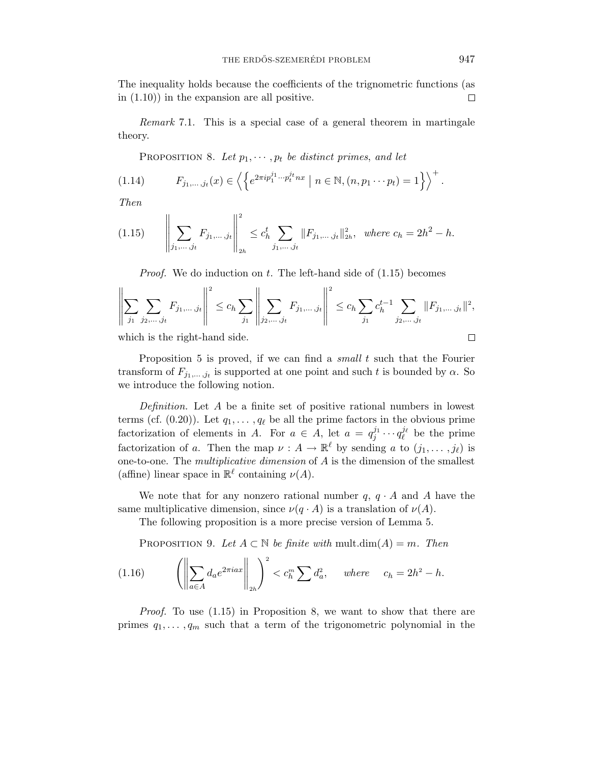The inequality holds because the coefficients of the trignometric functions (as in (1.10)) in the expansion are all positive.  $\Box$ 

Remark 7.1. This is a special case of a general theorem in martingale theory.

PROPOSITION 8. Let  $p_1, \dots, p_t$  be distinct primes, and let

(1.14) 
$$
F_{j_1,\dots,j_t}(x) \in \left\langle \left\{ e^{2\pi i p_1^{j_1}\dots p_t^{j_t} n x} \mid n \in \mathbb{N}, (n, p_1 \dots p_t) = 1 \right\} \right\rangle^+.
$$

Then

$$
(1.15) \qquad \left\| \sum_{j_1,\ldots,j_t} F_{j_1,\ldots,j_t} \right\|_{2h}^2 \leq c_h^t \sum_{j_1,\ldots,j_t} \|F_{j_1,\ldots,j_t}\|_{2h}^2, \text{ where } c_h = 2h^2 - h.
$$

Proof. We do induction on *t*. The left-hand side of (1.15) becomes

$$
\left\| \sum_{j_1} \sum_{j_2, \dots, j_t} F_{j_1, \dots, j_t} \right\|^2 \le c_h \sum_{j_1} \left\| \sum_{j_2, \dots, j_t} F_{j_1, \dots, j_t} \right\|^2 \le c_h \sum_{j_1} c_h^{t-1} \sum_{j_2, \dots, j_t} \|F_{j_1, \dots, j_t}\|^2,
$$

which is the right-hand side.

 $\mathbf{u}$ 

Proposition 5 is proved, if we can find a small *t* such that the Fourier transform of  $F_{j_1,\ldots,j_t}$  is supported at one point and such t is bounded by  $\alpha$ . So we introduce the following notion.

Definition. Let *A* be a finite set of positive rational numbers in lowest terms (cf.  $(0.20)$ ). Let  $q_1, \ldots, q_\ell$  be all the prime factors in the obvious prime factorization of elements in *A*. For  $a \in A$ , let  $a = q_j^{j_1} \cdots q_\ell^{j_\ell}$  be the prime factorization of *a*. Then the map  $\nu : A \to \mathbb{R}^{\ell}$  by sending *a* to  $(j_1, \ldots, j_{\ell})$  is one-to-one. The multiplicative dimension of *A* is the dimension of the smallest (affine) linear space in  $\mathbb{R}^{\ell}$  containing  $\nu(A)$ .

We note that for any nonzero rational number  $q, q \cdot A$  and  $A$  have the same multiplicative dimension, since  $\nu(q \cdot A)$  is a translation of  $\nu(A)$ .

The following proposition is a more precise version of Lemma 5.

PROPOSITION 9. Let  $A \subset \mathbb{N}$  be finite with mult.dim( $A$ ) = *m*. Then

(1.16) 
$$
\left( \left\| \sum_{a \in A} d_a e^{2\pi i a x} \right\|_{2h} \right)^2 < c_h^m \sum d_a^2, \quad \text{where} \quad c_h = 2h^2 - h.
$$

Proof. To use (1.15) in Proposition 8, we want to show that there are primes  $q_1, \ldots, q_m$  such that a term of the trigonometric polynomial in the

$$
\Box
$$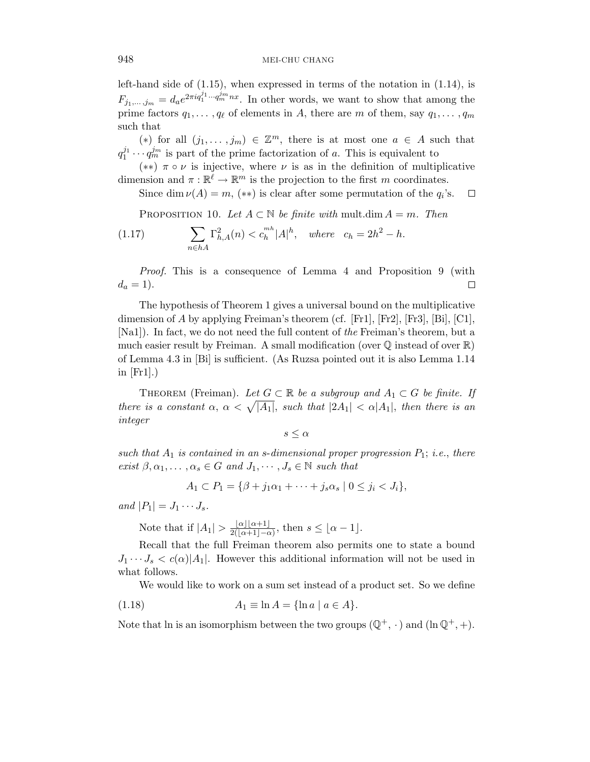left-hand side of (1.15), when expressed in terms of the notation in (1.14), is  $F_{j_1,\ldots,j_m} = d_a e^{2\pi i q_1^{j_1} \cdots q_m^{j_m} nx}$ . In other words, we want to show that among the prime factors  $q_1, \ldots, q_\ell$  of elements in *A*, there are *m* of them, say  $q_1, \ldots, q_m$ such that

(\*) for all  $(j_1, \ldots, j_m) \in \mathbb{Z}^m$ , there is at most one  $a \in A$  such that  $q_1^{j_1} \cdots q_m^{j_m}$  is part of the prime factorization of *a*. This is equivalent to

(∗∗) *π* ◦ *ν* is injective, where *ν* is as in the definition of multiplicative dimension and  $\pi : \mathbb{R}^{\ell} \to \mathbb{R}^m$  is the projection to the first *m* coordinates.

Since dim  $\nu(A) = m$ , (\*\*) is clear after some permutation of the  $q_i$ 's.  $\Box$ 

PROPOSITION 10. Let  $A \subset \mathbb{N}$  be finite with mult.dim  $A = m$ . Then

(1.17) 
$$
\sum_{n \in hA} \Gamma_{h,A}^2(n) < c_h^{mh} |A|^h, \quad \text{where} \quad c_h = 2h^2 - h.
$$

Proof. This is a consequence of Lemma 4 and Proposition 9 (with  $d_a = 1$ .  $\Box$ 

The hypothesis of Theorem 1 gives a universal bound on the multiplicative dimension of *A* by applying Freiman's theorem (cf. [Fr1], [Fr2], [Fr3], [Bi], [C1], [Na1]). In fact, we do not need the full content of the Freiman's theorem, but a much easier result by Freiman. A small modification (over  $\mathbb Q$  instead of over  $\mathbb R$ ) of Lemma 4.3 in [Bi] is sufficient. (As Ruzsa pointed out it is also Lemma 1.14 in  $[Fr1]$ .)

THEOREM (Freiman). Let  $G \subset \mathbb{R}$  be a subgroup and  $A_1 \subset G$  be finite. If there is a constant  $\alpha$ ,  $\alpha < \sqrt{|A_1|}$ , such that  $|2A_1| < \alpha |A_1|$ , then there is an integer

*s* ≤ *α*

such that  $A_1$  is contained in an *s*-dimensional proper progression  $P_1$ ; i.e., there exist  $\beta, \alpha_1, \ldots, \alpha_s \in G$  and  $J_1, \cdots, J_s \in \mathbb{N}$  such that

$$
A_1 \subset P_1 = \{ \beta + j_1 \alpha_1 + \dots + j_s \alpha_s \mid 0 \le j_i < J_i \},\
$$

and  $|P_1| = J_1 \cdots J_s$ .

Note that if  $|A_1| > \frac{|\alpha| |\alpha + 1|}{2(|\alpha + 1| - \alpha)},$  then  $s \leq |\alpha - 1|.$ 

Recall that the full Freiman theorem also permits one to state a bound  $J_1 \cdots J_s < c(\alpha) |A_1|$ . However this additional information will not be used in what follows.

We would like to work on a sum set instead of a product set. So we define

$$
(1.18) \qquad \qquad A_1 \equiv \ln A = \{\ln a \mid a \in A\}.
$$

Note that ln is an isomorphism between the two groups  $(\mathbb{Q}^+, \cdot)$  and  $(\ln \mathbb{Q}^+, +)$ .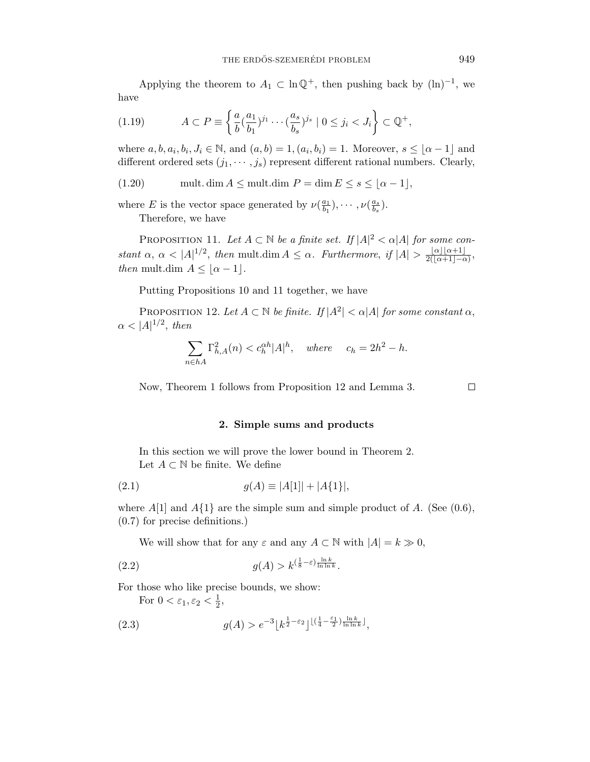Applying the theorem to  $A_1 \subset \ln \mathbb{Q}^+$ , then pushing back by  $(\ln)^{-1}$ , we have

$$
(1.19) \tA \subset P \equiv \left\{ \frac{a}{b} (\frac{a_1}{b_1})^{j_1} \cdots (\frac{a_s}{b_s})^{j_s} \mid 0 \le j_i < J_i \right\} \subset \mathbb{Q}^+,
$$

where  $a, b, a_i, b_i, J_i \in \mathbb{N}$ , and  $(a, b) = 1, (a_i, b_i) = 1$ . Moreover,  $s \leq \lfloor \alpha - 1 \rfloor$  and different ordered sets  $(j_1, \dots, j_s)$  represent different rational numbers. Clearly,

(1.20) mult. dim  $A \leq \text{mult.dim } P = \dim E \leq s \leq |\alpha - 1|$ ,

where *E* is the vector space generated by  $\nu(\frac{a_1}{b_1}), \cdots, \nu(\frac{a_s}{b_s}).$ Therefore, we have

PROPOSITION 11. Let  $A \subset \mathbb{N}$  be a finite set. If  $|A|^2 < \alpha |A|$  for some constant  $\alpha$ ,  $\alpha < |A|^{1/2}$ , then mult.dim  $A \leq \alpha$ . Furthermore, if  $|A| > \frac{|\alpha||\alpha+1|}{2(|\alpha+1|-\alpha)}$ , *then* mult.dim  $A \leq |\alpha - 1|$ .

Putting Propositions 10 and 11 together, we have

PROPOSITION 12. Let  $A \subset \mathbb{N}$  be finite. If  $|A^2| < \alpha |A|$  for some constant  $\alpha$ ,  $\alpha$  < |A|<sup>1/2</sup>, then

$$
\sum_{n \in hA} \Gamma_{h,A}^2(n) < c_h^{\alpha h} |A|^h, \quad \text{where} \quad c_h = 2h^2 - h.
$$

Now, Theorem 1 follows from Proposition 12 and Lemma 3.  $\Box$ 

## **2. Simple sums and products**

In this section we will prove the lower bound in Theorem 2. Let  $A \subset \mathbb{N}$  be finite. We define

(2.1) 
$$
g(A) \equiv |A[1]| + |A\{1\}|,
$$

where  $A[1]$  and  $A\{1\}$  are the simple sum and simple product of  $A$ . (See (0.6), (0.7) for precise definitions.)

We will show that for any  $\varepsilon$  and any  $A \subset \mathbb{N}$  with  $|A| = k \gg 0$ ,

$$
(2.2) \t\t g(A) > k^{\left(\frac{1}{8} - \varepsilon\right) \frac{\ln k}{\ln \ln k}}.
$$

For those who like precise bounds, we show:

For  $0 < \varepsilon_1, \varepsilon_2 < \frac{1}{2}$ ,

(2.3) 
$$
g(A) > e^{-3} \left[ k^{\frac{1}{2} - \varepsilon_2} \right]^{\left[ \left( \frac{1}{4} - \frac{\varepsilon_1}{2} \right) \frac{\ln k}{\ln \ln k} \right]},
$$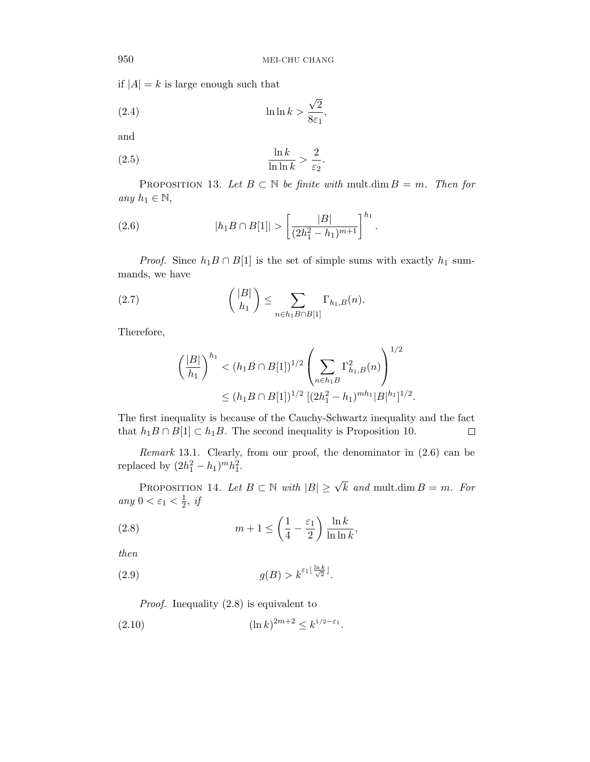if  $|A| = k$  is large enough such that

(2.4) 
$$
\ln \ln k > \frac{\sqrt{2}}{8\varepsilon_1},
$$

and

$$
\frac{\ln k}{\ln \ln k} > \frac{2}{\varepsilon_2}.
$$

PROPOSITION 13. Let  $B \subset \mathbb{N}$  be finite with mult.dim  $B = m$ . Then for any  $h_1 \in \mathbb{N}$ ,

(2.6) 
$$
|h_1B \cap B[1]| > \left[\frac{|B|}{(2h_1^2 - h_1)^{m+1}}\right]^{h_1}.
$$

*Proof.* Since  $h_1B \cap B[1]$  is the set of simple sums with exactly  $h_1$  summands, we have

(2.7) 
$$
{|B| \choose h_1} \leq \sum_{n \in h_1 B \cap B[1]} \Gamma_{h_1, B}(n).
$$

Therefore,

$$
\left(\frac{|B|}{h_1}\right)^{h_1} < (h_1 B \cap B[1])^{1/2} \left(\sum_{n \in h_1 B} \Gamma_{h_1, B}^2(n)\right)^{1/2} \\
\leq (h_1 B \cap B[1])^{1/2} \left[(2h_1^2 - h_1)^{mh_1} |B|^{h_1}\right]^{1/2}.
$$

The first inequality is because of the Cauchy-Schwartz inequality and the fact that  $h_1B \cap B[1] \subset h_1B$ . The second inequality is Proposition 10. □

Remark 13.1. Clearly, from our proof, the denominator in (2.6) can be replaced by  $(2h_1^2 - h_1)^m h_1^2$ .

PROPOSITION 14. Let  $B \subset \mathbb{N}$  with  $|B| \geq \sqrt{k}$  and mult.dim  $B = m$ . For any  $0 < \varepsilon_1 < \frac{1}{2}$ , if

(2.8) 
$$
m+1 \leq \left(\frac{1}{4} - \frac{\varepsilon_1}{2}\right) \frac{\ln k}{\ln \ln k},
$$

then

$$
(2.9) \t\t g(B) > k^{\varepsilon_1 \lfloor \frac{\ln k}{\sqrt{2}} \rfloor}.
$$

Proof. Inequality (2.8) is equivalent to

$$
(2.10) \t\t\t\t (\ln k)^{2m+2} \le k^{1/2 - \varepsilon_1}.
$$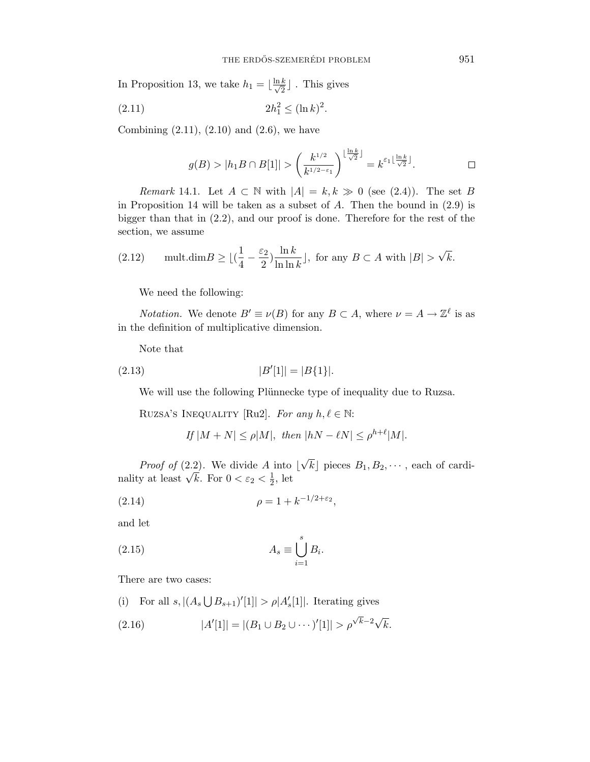In Proposition 13, we take  $h_1 = \lfloor \frac{\ln k}{\sqrt{2}} \rfloor$  . This gives

(2.11) 
$$
2h_1^2 \le (\ln k)^2.
$$

Combining  $(2.11)$ ,  $(2.10)$  and  $(2.6)$ , we have

$$
g(B) > |h_1B \cap B[1]| > \left(\frac{k^{1/2}}{k^{1/2-\varepsilon_1}}\right)^{\lfloor \frac{\ln k}{\sqrt{2}} \rfloor} = k^{\varepsilon_1 \lfloor \frac{\ln k}{\sqrt{2}} \rfloor}.
$$

*Remark* 14.1. Let  $A \subset \mathbb{N}$  with  $|A| = k, k \gg 0$  (see (2.4)). The set *B* in Proposition 14 will be taken as a subset of *A*. Then the bound in (2.9) is bigger than that in (2.2), and our proof is done. Therefore for the rest of the section, we assume

(2.12) 
$$
\text{mult.dim } B \ge \lfloor (\frac{1}{4} - \frac{\varepsilon_2}{2}) \frac{\ln k}{\ln \ln k} \rfloor
$$
, for any  $B \subset A$  with  $|B| > \sqrt{k}$ .

We need the following:

*Notation.* We denote  $B' \equiv \nu(B)$  for any  $B \subset A$ , where  $\nu = A \rightarrow \mathbb{Z}^{\ell}$  is as in the definition of multiplicative dimension.

Note that

$$
(2.13)\t\t\t |B'[1]| = |B\{1\}|.
$$

We will use the following Plünnecke type of inequality due to Ruzsa.

RUZSA'S INEQUALITY [Ru2]. For any  $h, \ell \in \mathbb{N}$ :

If 
$$
|M+N| \le \rho |M|
$$
, then  $|hN - \ell N| \le \rho^{h+\ell} |M|$ .

*Proof of*  $(2.2)$ . We divide A into  $\vert$ √  $k$  pieces  $B_1, B_2, \cdots$ , each of cardinality at least  $\sqrt{k}$ . For  $0 < \varepsilon_2 < \frac{1}{2}$ , let

(2.14) 
$$
\rho = 1 + k^{-1/2 + \varepsilon_2},
$$

and let

(2.15) 
$$
A_s \equiv \bigcup_{i=1}^s B_i.
$$

There are two cases:

(i) For all  $s$ ,  $|(A_s \bigcup B_{s+1})'[1]| > \rho |A'_s[1]|$ . Iterating gives

(2.16) 
$$
|A'[1]| = |(B_1 \cup B_2 \cup \cdots )'[1]| > \rho^{\sqrt{k}-2}\sqrt{k}.
$$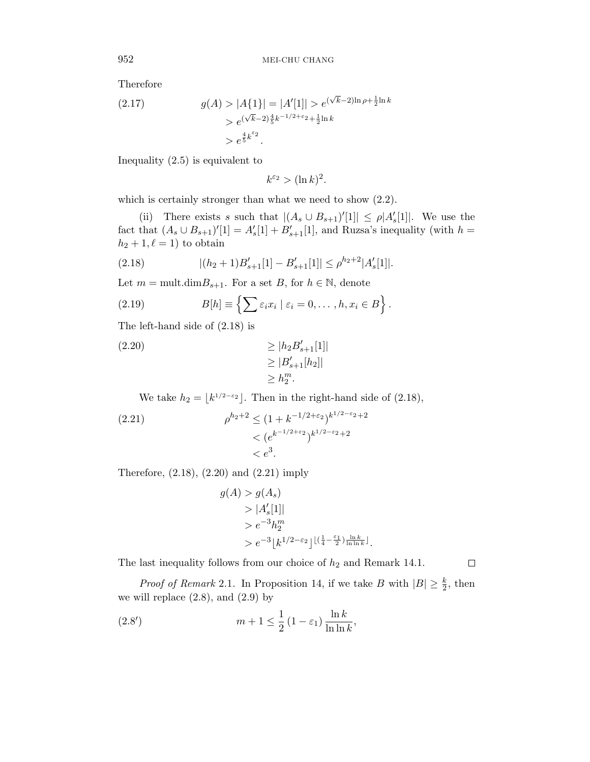Therefore

(2.17) 
$$
g(A) > |A\{1\}| = |A'[1]| > e^{(\sqrt{k}-2)\ln \rho + \frac{1}{2}\ln k} > e^{(\sqrt{k}-2)\frac{4}{5}k^{-1/2+\epsilon_2} + \frac{1}{2}\ln k} > e^{\frac{4}{5}k^{\epsilon_2}}.
$$

Inequality (2.5) is equivalent to

$$
k^{\varepsilon_2} > (\ln k)^2.
$$

which is certainly stronger than what we need to show (2.2).

(ii) There exists *s* such that  $|(A_s \cup B_{s+1})'[1]| \le \rho |A'_s[1]|$ . We use the fact that  $(A_s \cup B_{s+1})'[1] = A'_s[1] + B'_{s+1}[1]$ , and Ruzsa's inequality (with  $h =$  $h_2 + 1, \ell = 1$  to obtain

(2.18) 
$$
|(h_2+1)B'_{s+1}[1]-B'_{s+1}[1]|\leq \rho^{h_2+2}|A'_{s}[1]|.
$$

Let  $m = \text{mult.dim}B_{s+1}$ . For a set *B*, for  $h \in \mathbb{N}$ , denote

(2.19) 
$$
B[h] \equiv \left\{ \sum \varepsilon_i x_i \mid \varepsilon_i = 0, \ldots, h, x_i \in B \right\}.
$$

The left-hand side of (2.18) is

$$
\geq |h_2 B'_{s+1}[1]|
$$
  
\n
$$
\geq |B'_{s+1}[h_2]|
$$
  
\n
$$
\geq h_2^m.
$$

We take  $h_2 = \lfloor k^{1/2 - \epsilon_2} \rfloor$ . Then in the right-hand side of (2.18),

(2.21) 
$$
\rho^{h_2+2} \le (1 + k^{-1/2 + \varepsilon_2})^{k^{1/2 - \varepsilon_2} + 2} < (e^{k^{-1/2 + \varepsilon_2}})^{k^{1/2 - \varepsilon_2} + 2} < e^3.
$$

Therefore, (2.18), (2.20) and (2.21) imply

$$
g(A) > g(As)
$$
  
>  $|A'_{s}[1]|$   
>  $e^{-3}h_2^m$   
>  $e^{-3} [k^{1/2-\epsilon_2}]^{\lfloor(\frac{1}{4}-\frac{\epsilon_1}{2})\frac{\ln k}{\ln \ln k}\rfloor}.$ 

The last inequality follows from our choice of  $h_2$  and Remark 14.1.

*Proof of Remark* 2.1. In Proposition 14, if we take *B* with  $|B| \geq \frac{k}{2}$ , then we will replace  $(2.8)$ , and  $(2.9)$  by

(2.8') 
$$
m+1 \leq \frac{1}{2} (1-\varepsilon_1) \frac{\ln k}{\ln \ln k},
$$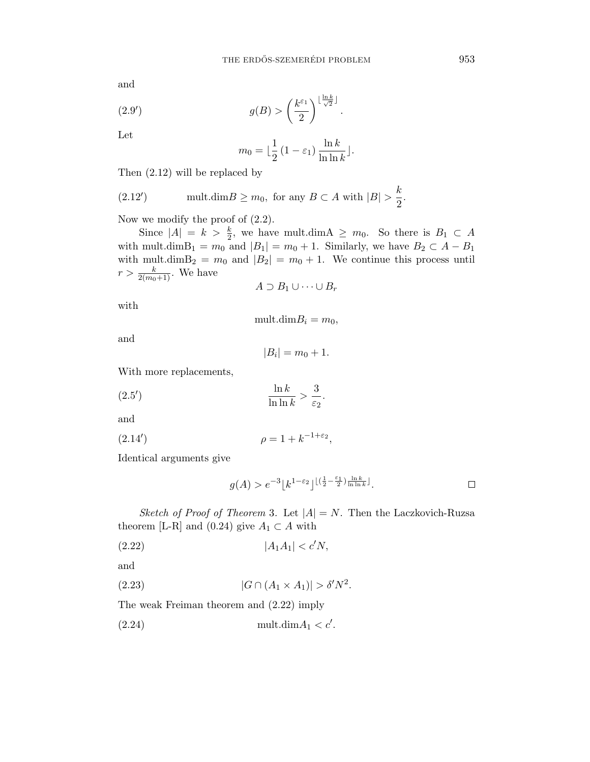and

(2.9') 
$$
g(B) > \left(\frac{k^{\varepsilon_1}}{2}\right)^{\lfloor \frac{\ln k}{\sqrt{2}} \rfloor}
$$

Let

$$
m_0 = \lfloor \frac{1}{2} (1 - \varepsilon_1) \frac{\ln k}{\ln \ln k} \rfloor.
$$

*.*

Then (2.12) will be replaced by

(2.12') 
$$
\text{mult.dim} B \ge m_0, \text{ for any } B \subset A \text{ with } |B| > \frac{k}{2}.
$$

Now we modify the proof of (2.2).

Since  $|A| = k > \frac{k}{2}$ , we have mult.dim  $A \geq m_0$ . So there is  $B_1 \subset A$ with mult.dim $B_1 = m_0$  and  $|B_1| = m_0 + 1$ . Similarly, we have  $B_2 \subset A - B_1$ with mult.dim $B_2 = m_0$  and  $|B_2| = m_0 + 1$ . We continue this process until  $r > \frac{k}{2(m_0+1)}$ . We have

$$
A \supset B_1 \cup \cdots \cup B_r
$$

with

 $mult.dimB_i = m_0$ 

and

$$
|B_i|=m_0+1.
$$

*.*

With more replacements,

$$
\frac{\ln k}{\ln \ln k} > \frac{3}{\varepsilon_2}
$$

and

(2.14') 
$$
\rho = 1 + k^{-1+\varepsilon_2},
$$

Identical arguments give

$$
g(A) > e^{-3} \lfloor k^{1-\varepsilon_2} \rfloor^{\lfloor (\frac{1}{2} - \frac{\varepsilon_1}{2}) \frac{\ln k}{\ln \ln k} \rfloor}.
$$

Sketch of Proof of Theorem 3. Let  $|A| = N$ . Then the Laczkovich-Ruzsa theorem [L-R] and (0.24) give  $A_1 \subset A$  with

$$
(2.22) \t\t |A_1A_1| < c'N,
$$

and

(2.23) 
$$
|G \cap (A_1 \times A_1)| > \delta' N^2.
$$

The weak Freiman theorem and (2.22) imply

(2.24) mult.dim*A*<sup>1</sup> *< c .*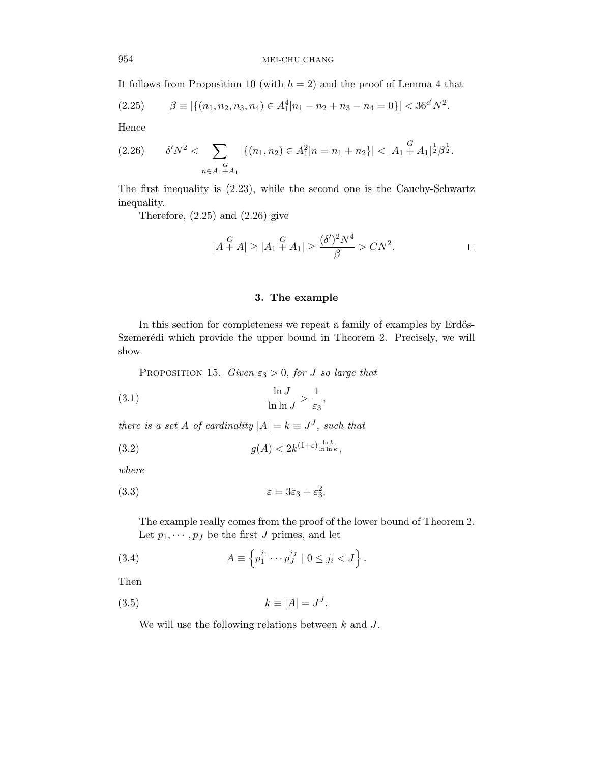It follows from Proposition 10 (with  $h = 2$ ) and the proof of Lemma 4 that

$$
(2.25) \qquad \beta \equiv |\{(n_1, n_2, n_3, n_4) \in A_1^4 | n_1 - n_2 + n_3 - n_4 = 0\}| < 36^{c'} N^2.
$$

Hence

$$
(2.26) \t\t \delta' N^2 < \sum_{\substack{G\\n \in A_1 + A_1}} |\{(n_1, n_2) \in A_1^2 | n = n_1 + n_2\}| < |A_1|^{\frac{G}{2}} A_1|^{\frac{1}{2}} \beta^{\frac{1}{2}}.
$$

The first inequality is (2.23), while the second one is the Cauchy-Schwartz inequality.

Therefore,  $(2.25)$  and  $(2.26)$  give

$$
|A \stackrel{G}{+} A| \ge |A_1 \stackrel{G}{+} A_1| \ge \frac{(\delta')^2 N^4}{\beta} > CN^2.
$$

# **3. The example**

In this section for completeness we repeat a family of examples by Erdős-Szemerédi which provide the upper bound in Theorem 2. Precisely, we will show

PROPOSITION 15. Given  $\varepsilon_3 > 0$ , for *J* so large that

$$
\frac{\ln J}{\ln \ln J} > \frac{1}{\varepsilon_3},
$$

there is a set *A* of cardinality  $|A| = k \equiv J^J$ , such that

(3.2) 
$$
g(A) < 2k^{(1+\varepsilon)\frac{\ln k}{\ln \ln k}},
$$

where

$$
(3.3) \t\t\t\t\t\varepsilon = 3\varepsilon_3 + \varepsilon_3^2.
$$

The example really comes from the proof of the lower bound of Theorem 2. Let  $p_1, \dots, p_J$  be the first *J* primes, and let

(3.4) 
$$
A \equiv \left\{ p_1^{j_1} \cdots p_J^{j_J} \mid 0 \leq j_i < J \right\}.
$$

Then

$$
(3.5) \t\t k \equiv |A| = J^J.
$$

We will use the following relations between *k* and *J*.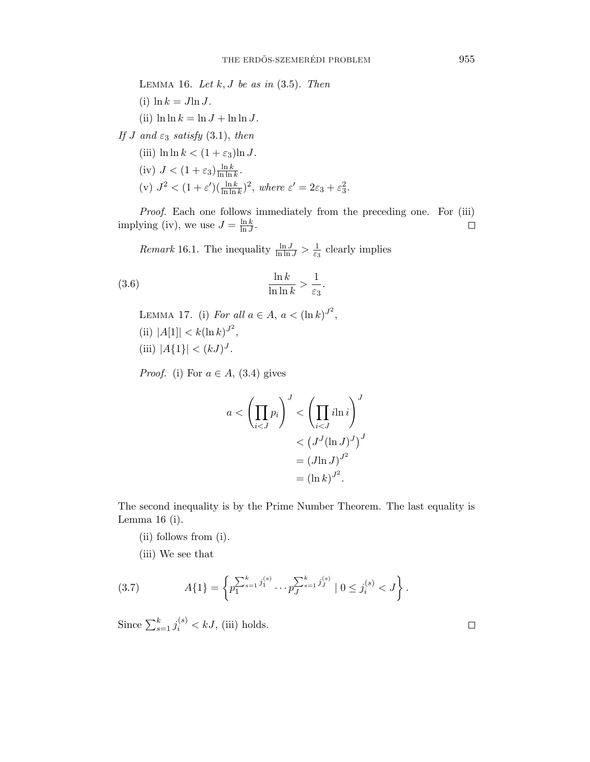LEMMA 16. Let  $k, J$  be as in  $(3.5)$ . Then (i)  $\ln k = J \ln J$ . (ii)  $\ln \ln k = \ln J + \ln \ln J$ . If *J* and  $\varepsilon_3$  satisfy (3.1), then (iii)  $\ln \ln k < (1 + \varepsilon_3) \ln J$ .  $(iv)$   $J < (1 + \varepsilon_3) \frac{\ln k}{\ln \ln k}$ . (v)  $J^2 < (1 + \varepsilon')(\frac{\ln k}{\ln \ln k})^2$ , where  $\varepsilon' = 2\varepsilon_3 + \varepsilon_3^2$ .

Proof. Each one follows immediately from the preceding one. For (iii) implying (iv), we use  $J = \frac{\ln k}{\ln J}$ .  $\Box$ 

*Remark* 16.1. The inequality  $\frac{\ln J}{\ln \ln J} > \frac{1}{\varepsilon_3}$  clearly implies

(3.6) 
$$
\frac{\ln k}{\ln \ln k} > \frac{1}{\varepsilon_3}.
$$

LEMMA 17. (i) For all  $a \in A$ ,  $a < (\ln k)^{J^2}$ ,  $(iii)$   $|A[1]| < k(\ln k)^{J^2}$ , (iii)  $|A\{1\}| < (kJ)^J$ .

*Proof.* (i) For  $a \in A$ , (3.4) gives

$$
a < \left(\prod_{i < J} p_i\right)^J < \left(\prod_{i < J} i\ln i\right)^J \n< \left(J^J(\ln J)^J\right)^J \n= \left(J\ln J\right)^{J^2} \n= \left(\ln k\right)^{J^2}.
$$

The second inequality is by the Prime Number Theorem. The last equality is Lemma 16 (i).

- (ii) follows from (i).
- (iii) We see that

(3.7) 
$$
A\{1\} = \left\{p_1^{\sum_{s=1}^k j_1^{(s)}} \cdots p_J^{\sum_{s=1}^k j_J^{(s)}} \mid 0 \le j_i^{(s)} < J\right\}.
$$

Since  $\sum_{s=1}^{k} j_i^{(s)} < kJ$ , (iii) holds.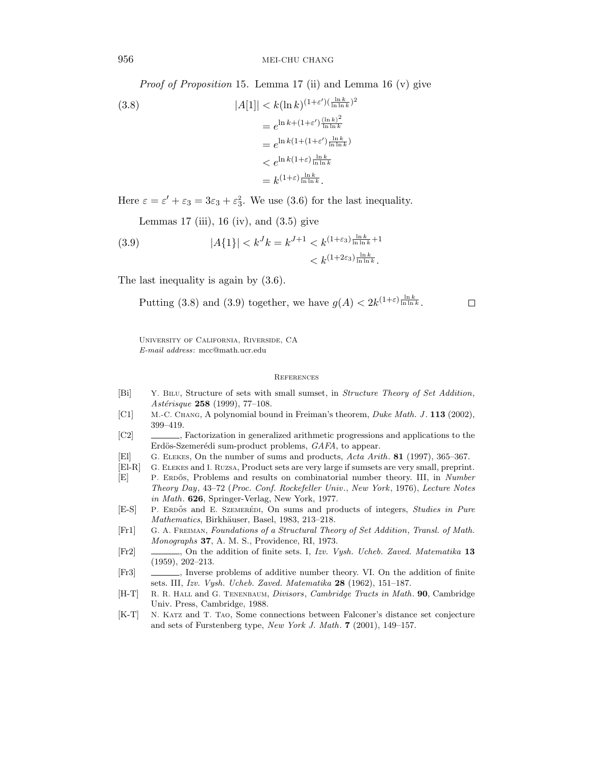956 MEI-CHU CHANG

Proof of Proposition 15. Lemma 17 (ii) and Lemma 16 (v) give

(3.8)  
\n
$$
|A[1]| < k(\ln k)^{(1+\varepsilon')(\frac{\ln k}{\ln \ln k})^2}
$$
\n
$$
= e^{\ln k + (1+\varepsilon')\frac{(\ln k)^2}{\ln \ln k}}
$$
\n
$$
= e^{\ln k(1+(1+\varepsilon')\frac{\ln k}{\ln \ln k})}
$$
\n
$$
< e^{\ln k(1+\varepsilon)\frac{\ln k}{\ln \ln k}}
$$
\n
$$
= k^{(1+\varepsilon)\frac{\ln k}{\ln \ln k}}.
$$

Here  $\varepsilon = \varepsilon' + \varepsilon_3 = 3\varepsilon_3 + \varepsilon_3^2$ . We use (3.6) for the last inequality.

Lemmas 17 (iii), 16 (iv), and  $(3.5)$  give

(3.9) 
$$
|A\{1\}| < k^J k = k^{J+1} < k^{(1+\varepsilon_3)\frac{\ln k}{\ln \ln k}+1} < k^{(1+2\varepsilon_3)\frac{\ln k}{\ln \ln k}}
$$

The last inequality is again by  $(3.6)$ .

Putting (3.8) and (3.9) together, we have  $g(A) < 2k^{(1+\varepsilon)}\frac{\ln k}{\ln \ln k}$ .

 $\Box$ 

University of California, Riverside, CA *E-mail address*: mcc@math.ucr.edu

#### References

- [Bi] Y. Bilu, Structure of sets with small sumset, in *Structure Theory of Set Addition*, *Ast´erisque* **258** (1999), 77–108.
- [C1] M.-C. Chang, A polynomial bound in Freiman's theorem, *Duke Math. J* . **113** (2002), 399–419.
- [C2] , Factorization in generalized arithmetic progressions and applications to the Erdös-Szemerédi sum-product problems, *GAFA*, to appear.
- [El] G. Elekes, On the number of sums and products, *Acta Arith*. **81** (1997), 365–367.
- [El-R] G. Elekes and I. Ruzsa, Product sets are very large if sumsets are very small, preprint.
- [E] P. ERDŐS, Problems and results on combinatorial number theory. III, in *Number Theory Day*, 43–72 (*Proc. Conf. Rockefeller Univ*., *New York*, 1976), *Lecture Notes in Math*. **626**, Springer-Verlag, New York, 1977.
- [E-S] P. ERDŐS and E. SZEMERÉDI, On sums and products of integers, *Studies in Pure Mathematics*, Birkhäuser, Basel, 1983, 213–218.
- [Fr1] G. A. Freiman, *Foundations of a Structural Theory of Set Addition*, *Transl. of Math. Monographs* **37**, A. M. S., Providence, RI, 1973.
- [Fr2] , On the addition of finite sets. I, *Izv. Vysh. Ucheb. Zaved. Matematika* **13** (1959), 202–213.
- [Fr3] , Inverse problems of additive number theory. VI. On the addition of finite sets. III, *Izv. Vysh. Ucheb. Zaved. Matematika* **28** (1962), 151–187.
- [H-T] R. R. Hall and G. Tenenbaum, *Divisors*, *Cambridge Tracts in Math*. **90**, Cambridge Univ. Press, Cambridge, 1988.
- [K-T] N. Katz and T. Tao, Some connections between Falconer's distance set conjecture and sets of Furstenberg type, *New York J. Math*. **7** (2001), 149–157.